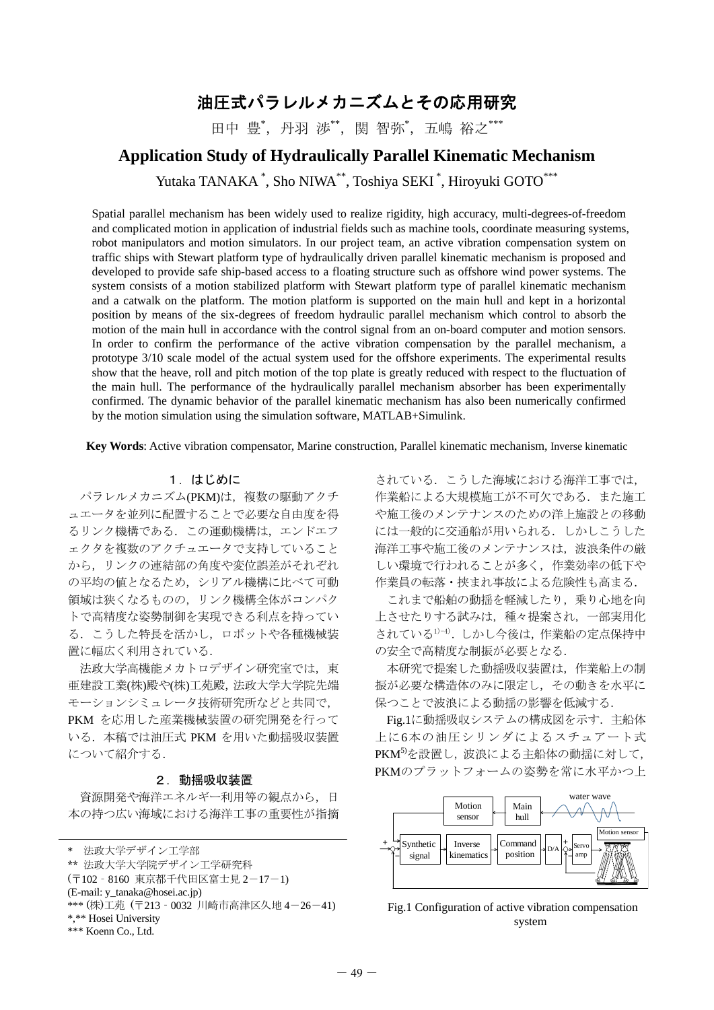# 油圧式パラレルメカニズムとその応用研究

田中 豊\*, 丹羽 渉\*\*, 関 智弥\*, 五嶋 裕之\*\*\*

## **Application Study of Hydraulically Parallel Kinematic Mechanism**

Yutaka TANAKA<sup>\*</sup>, Sho NIWA<sup>\*\*</sup>, Toshiya SEKI<sup>\*</sup>, Hiroyuki GOTO<sup>\*\*\*</sup>

Spatial parallel mechanism has been widely used to realize rigidity, high accuracy, multi-degrees-of-freedom and complicated motion in application of industrial fields such as machine tools, coordinate measuring systems, robot manipulators and motion simulators. In our project team, an active vibration compensation system on traffic ships with Stewart platform type of hydraulically driven parallel kinematic mechanism is proposed and developed to provide safe ship-based access to a floating structure such as offshore wind power systems. The system consists of a motion stabilized platform with Stewart platform type of parallel kinematic mechanism and a catwalk on the platform. The motion platform is supported on the main hull and kept in a horizontal position by means of the six-degrees of freedom hydraulic parallel mechanism which control to absorb the motion of the main hull in accordance with the control signal from an on-board computer and motion sensors. In order to confirm the performance of the active vibration compensation by the parallel mechanism, a prototype 3/10 scale model of the actual system used for the offshore experiments. The experimental results show that the heave, roll and pitch motion of the top plate is greatly reduced with respect to the fluctuation of the main hull. The performance of the hydraulically parallel mechanism absorber has been experimentally confirmed. The dynamic behavior of the parallel kinematic mechanism has also been numerically confirmed by the motion simulation using the simulation software, MATLAB+Simulink.

**Key Words**: Active vibration compensator, Marine construction, Parallel kinematic mechanism, Inverse kinematic

## 1.はじめに

パラレルメカニズム(PKM)は、複数の駆動アクチ ュエータを並列に配置することで必要な自由度を得 るリンク機構である.この運動機構は,エンドエフ ェクタを複数のアクチュエータで支持していること から,リンクの連結部の角度や変位誤差がそれぞれ の平均の値となるため,シリアル機構に比べて可動 領域は狭くなるものの,リンク機構全体がコンパク トで高精度な姿勢制御を実現できる利点を持ってい る.こうした特長を活かし,ロボットや各種機械装 置に幅広く利用されている.

法政大学高機能メカトロデザイン研究室では、東 亜建設工業(株)殿や(株)工苑殿,法政大学大学院先端 モーションシミュレータ技術研究所などと共同で, PKM を応用した産業機械装置の研究開発を行って いる.本稿では油圧式 PKM を用いた動揺吸収装置 について紹介する.

#### 2.動揺吸収装置

資源開発や海洋エネルギー利用等の観点から、日 本の持つ広い海域における海洋工事の重要性が指摘

法政大学デザイン工学部 \*\* 法政大学大学院デザイン工学研究科 (〒102‐8160 東京都千代田区富士見 2-17-1) (E-mail: y\_tanaka@hosei.ac.jp) \*\*\* (株)工苑 (〒213‐0032 川崎市高津区久地 4-26-41) \*,\*\* Hosei University \*\*\* Koenn Co., Ltd.

されている.こうした海域における海洋工事では, 作業船による大規模施工が不可欠である.また施工 や施工後のメンテナンスのための洋上施設との移動 には一般的に交通船が用いられる.しかしこうした 海洋工事や施工後のメンテナンスは,波浪条件の厳 しい環境で行われることが多く,作業効率の低下や 作業員の転落・挟まれ事故による危険性も高まる.

 これまで船舶の動揺を軽減したり,乗り心地を向 上させたりする試みは,種々提案され,一部実用化 されている1)-4).しかし今後は,作業船の定点保持中 の安全で高精度な制振が必要となる.

 本研究で提案した動揺吸収装置は,作業船上の制 振が必要な構造体のみに限定し,その動きを水平に 保つことで波浪による動揺の影響を低減する.

Fig.1に動揺吸収システムの構成図を示す. 主船体 上に6本の油圧シリンダによるスチュアート式 PKM5)を設置し、波浪による主船体の動揺に対して, PKMのプラットフォームの姿勢を常に水平かつ上



Fig.1 Configuration of active vibration compensation system